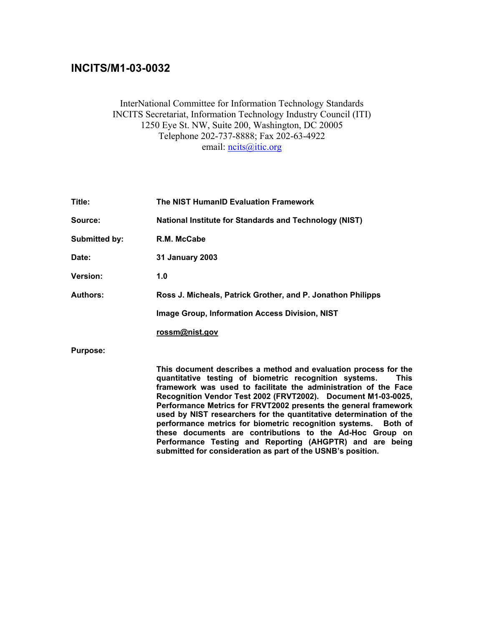# **INCITS/M1-03-0032**

InterNational Committee for Information Technology Standards INCITS Secretariat, Information Technology Industry Council (ITI) 1250 Eye St. NW, Suite 200, Washington, DC 20005 Telephone 202-737-8888; Fax 202-63-4922 email: [ncits@itic.org](mailto:ncits@itic.org)

| Title:               | The NIST HumanID Evaluation Framework                         |
|----------------------|---------------------------------------------------------------|
| Source:              | <b>National Institute for Standards and Technology (NIST)</b> |
| <b>Submitted by:</b> | R.M. McCabe                                                   |
| Date:                | 31 January 2003                                               |
| Version:             | 1.0                                                           |
| <b>Authors:</b>      | Ross J. Micheals, Patrick Grother, and P. Jonathon Philipps   |
|                      | <b>Image Group, Information Access Division, NIST</b>         |
|                      | rossm@nist.gov                                                |

**Purpose:** 

**This document describes a method and evaluation process for the quantitative testing of biometric recognition systems. This framework was used to facilitate the administration of the Face Recognition Vendor Test 2002 (FRVT2002). Document M1-03-0025, Performance Metrics for FRVT2002 presents the general framework used by NIST researchers for the quantitative determination of the performance metrics for biometric recognition systems. Both of these documents are contributions to the Ad-Hoc Group on Performance Testing and Reporting (AHGPTR) and are being submitted for consideration as part of the USNB's position.**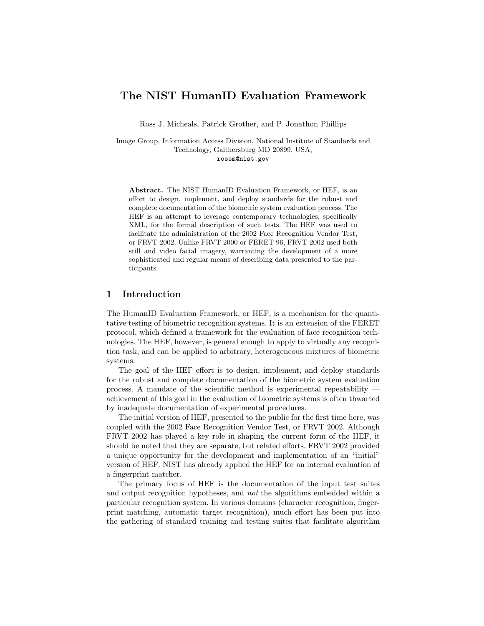# **The NIST HumanID Evaluation Framework**

Ross J. Micheals, Patrick Grother, and P. Jonathon Phillips

Image Group, Information Access Division, National Institute of Standards and Technology, Gaithersburg MD 20899, USA, rossm@nist.gov

**Abstract.** The NIST HumanID Evaluation Framework, or HEF, is an effort to design, implement, and deploy standards for the robust and complete documentation of the biometric system evaluation process. The HEF is an attempt to leverage contemporary technologies, specifically XML, for the formal description of such tests. The HEF was used to facilitate the administration of the 2002 Face Recognition Vendor Test, or FRVT 2002. Unlike FRVT 2000 or FERET 96, FRVT 2002 used both still and video facial imagery, warranting the development of a more sophisticated and regular means of describing data presented to the participants.

## **1 Introduction**

The HumanID Evaluation Framework, or HEF, is a mechanism for the quantitative testing of biometric recognition systems. It is an extension of the FERET protocol, which defined a framework for the evaluation of face recognition technologies. The HEF, however, is general enough to apply to virtually any recognition task, and can be applied to arbitrary, heterogeneous mixtures of biometric systems.

The goal of the HEF effort is to design, implement, and deploy standards for the robust and complete documentation of the biometric system evaluation process. A mandate of the scientific method is experimental repeatability achievement of this goal in the evaluation of biometric systems is often thwarted by inadequate documentation of experimental procedures.

The initial version of HEF, presented to the public for the first time here, was coupled with the 2002 Face Recognition Vendor Test, or FRVT 2002. Although FRVT 2002 has played a key role in shaping the current form of the HEF, it should be noted that they are separate, but related efforts. FRVT 2002 provided a unique opportunity for the development and implementation of an "initial" version of HEF. NIST has already applied the HEF for an internal evaluation of a fingerprint matcher.

The primary focus of HEF is the documentation of the input test suites and output recognition hypotheses, and *not* the algorithms embedded within a particular recognition system. In various domains (character recognition, fingerprint matching, automatic target recognition), much effort has been put into the gathering of standard training and testing suites that facilitate algorithm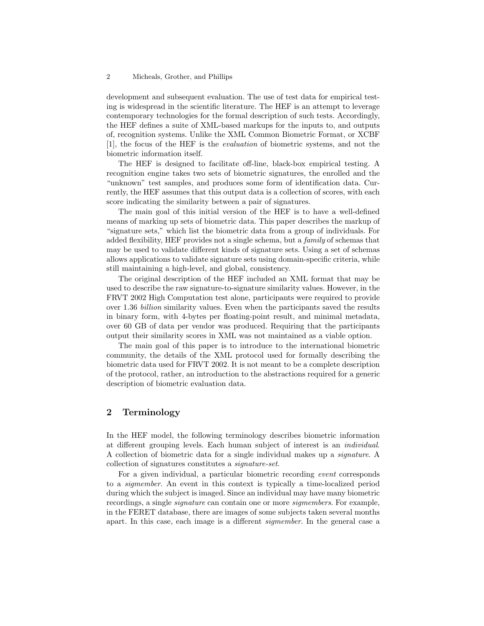development and subsequent evaluation. The use of test data for empirical testing is widespread in the scientific literature. The HEF is an attempt to leverage contemporary technologies for the formal description of such tests. Accordingly, the HEF defines a suite of XML-based markups for the inputs to, and outputs of, recognition systems. Unlike the XML Common Biometric Format, or XCBF [1], the focus of the HEF is the *evaluation* of biometric systems, and not the biometric information itself.

The HEF is designed to facilitate off-line, black-box empirical testing. A recognition engine takes two sets of biometric signatures, the enrolled and the "unknown" test samples, and produces some form of identification data. Currently, the HEF assumes that this output data is a collection of scores, with each score indicating the similarity between a pair of signatures.

The main goal of this initial version of the HEF is to have a well-defined means of marking up sets of biometric data. This paper describes the markup of "signature sets," which list the biometric data from a group of individuals. For added flexibility, HEF provides not a single schema, but a *family* of schemas that may be used to validate different kinds of signature sets. Using a set of schemas allows applications to validate signature sets using domain-specific criteria, while still maintaining a high-level, and global, consistency.

The original description of the HEF included an XML format that may be used to describe the raw signature-to-signature similarity values. However, in the FRVT 2002 High Computation test alone, participants were required to provide over 1.36 *billion* similarity values. Even when the participants saved the results in binary form, with 4-bytes per floating-point result, and minimal metadata, over 60 GB of data per vendor was produced. Requiring that the participants output their similarity scores in XML was not maintained as a viable option.

The main goal of this paper is to introduce to the international biometric community, the details of the XML protocol used for formally describing the biometric data used for FRVT 2002. It is not meant to be a complete description of the protocol, rather, an introduction to the abstractions required for a generic description of biometric evaluation data.

# **2 Terminology**

In the HEF model, the following terminology describes biometric information at different grouping levels. Each human subject of interest is an *individual*. A collection of biometric data for a single individual makes up a *signature*. A collection of signatures constitutes a *signature-set*.

For a given individual, a particular biometric recording *event* corresponds to a *sigmember*. An event in this context is typically a time-localized period during which the subject is imaged. Since an individual may have many biometric recordings, a single *signature* can contain one or more *sigmembers*. For example, in the FERET database, there are images of some subjects taken several months apart. In this case, each image is a different *sigmember*. In the general case a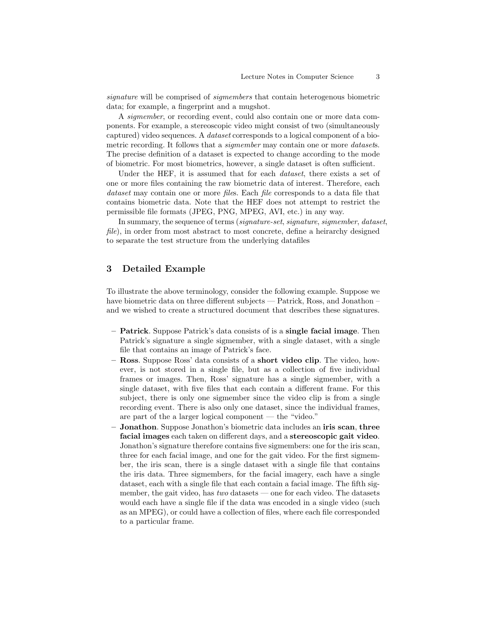*signature* will be comprised of *sigmembers* that contain heterogenous biometric data; for example, a fingerprint and a mugshot.

A *sigmember*, or recording event, could also contain one or more data components. For example, a stereoscopic video might consist of two (simultaneously captured) video sequences. A *dataset* corresponds to a logical component of a biometric recording. It follows that a *sigmember* may contain one or more *dataset*s. The precise definition of a dataset is expected to change according to the mode of biometric. For most biometrics, however, a single dataset is often sufficient.

Under the HEF, it is assumed that for each *dataset*, there exists a set of one or more files containing the raw biometric data of interest. Therefore, each *dataset* may contain one or more *file*s. Each *file* corresponds to a data file that contains biometric data. Note that the HEF does not attempt to restrict the permissible file formats (JPEG, PNG, MPEG, AVI, etc.) in any way.

In summary, the sequence of terms (*signature-set*, *signature*, *sigmember*, *dataset*, *file*), in order from most abstract to most concrete, define a heirarchy designed to separate the test structure from the underlying datafiles

## **3 Detailed Example**

To illustrate the above terminology, consider the following example. Suppose we have biometric data on three different subjects — Patrick, Ross, and Jonathon – and we wished to create a structured document that describes these signatures.

- **Patrick**. Suppose Patrick's data consists of is a **single facial image**. Then Patrick's signature a single sigmember, with a single dataset, with a single file that contains an image of Patrick's face.
- **Ross**. Suppose Ross' data consists of a **short video clip**. The video, however, is not stored in a single file, but as a collection of five individual frames or images. Then, Ross' signature has a single sigmember, with a single dataset, with five files that each contain a different frame. For this subject, there is only one sigmember since the video clip is from a single recording event. There is also only one dataset, since the individual frames, are part of the a larger logical component — the "video."
- **Jonathon**. Suppose Jonathon's biometric data includes an **iris scan**, **three facial images** each taken on different days, and a **stereoscopic gait video**. Jonathon's signature therefore contains five sigmembers: one for the iris scan, three for each facial image, and one for the gait video. For the first sigmember, the iris scan, there is a single dataset with a single file that contains the iris data. Three sigmembers, for the facial imagery, each have a single dataset, each with a single file that each contain a facial image. The fifth sigmember, the gait video, has *two* datasets — one for each video. The datasets would each have a single file if the data was encoded in a single video (such as an MPEG), or could have a collection of files, where each file corresponded to a particular frame.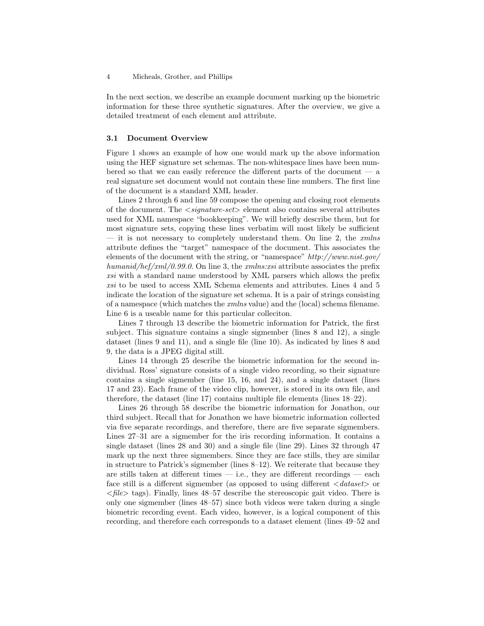In the next section, we describe an example document marking up the biometric information for these three synthetic signatures. After the overview, we give a detailed treatment of each element and attribute.

#### **3.1 Document Overview**

Figure 1 shows an example of how one would mark up the above information using the HEF signature set schemas. The non-whitespace lines have been numbered so that we can easily reference the different parts of the document  $-$  a real signature set document would not contain these line numbers. The first line of the document is a standard XML header.

Lines 2 through 6 and line 59 compose the opening and closing root elements of the document. The *<signature-set>* element also contains several attributes used for XML namespace "bookkeeping". We will briefly describe them, but for most signature sets, copying these lines verbatim will most likely be sufficient — it is not necessary to completely understand them. On line 2, the *xmlns* attribute defines the "target" namespace of the document. This associates the elements of the document with the string, or "namespace" *http://www.nist.gov/ humanid/hef/xml/0.99.0*. On line 3, the *xmlns:xsi* attribute associates the prefix *xsi* with a standard name understood by XML parsers which allows the prefix *xsi* to be used to access XML Schema elements and attributes. Lines 4 and 5 indicate the location of the signature set schema. It is a pair of strings consisting of a namespace (which matches the *xmlns* value) and the (local) schema filename. Line 6 is a useable name for this particular colleciton.

Lines 7 through 13 describe the biometric information for Patrick, the first subject. This signature contains a single sigmember (lines 8 and 12), a single dataset (lines 9 and 11), and a single file (line 10). As indicated by lines 8 and 9, the data is a JPEG digital still.

Lines 14 through 25 describe the biometric information for the second individual. Ross' signature consists of a single video recording, so their signature contains a single sigmember (line 15, 16, and 24), and a single dataset (lines 17 and 23). Each frame of the video clip, however, is stored in its own file, and therefore, the dataset (line 17) contains multiple file elements (lines 18–22).

Lines 26 through 58 describe the biometric information for Jonathon, our third subject. Recall that for Jonathon we have biometric information collected via five separate recordings, and therefore, there are five separate sigmembers. Lines 27–31 are a sigmember for the iris recording information. It contains a single dataset (lines 28 and 30) and a single file (line 29). Lines 32 through 47 mark up the next three sigmembers. Since they are face stills, they are similar in structure to Patrick's sigmember (lines 8–12). We reiterate that because they are stills taken at different times  $-$  i.e., they are different recordings  $-$  each face still is a different sigmember (as opposed to using different *<dataset>* or *<file>* tags). Finally, lines 48–57 describe the stereoscopic gait video. There is only one sigmember (lines 48–57) since both videos were taken during a single biometric recording event. Each video, however, is a logical component of this recording, and therefore each corresponds to a dataset element (lines 49–52 and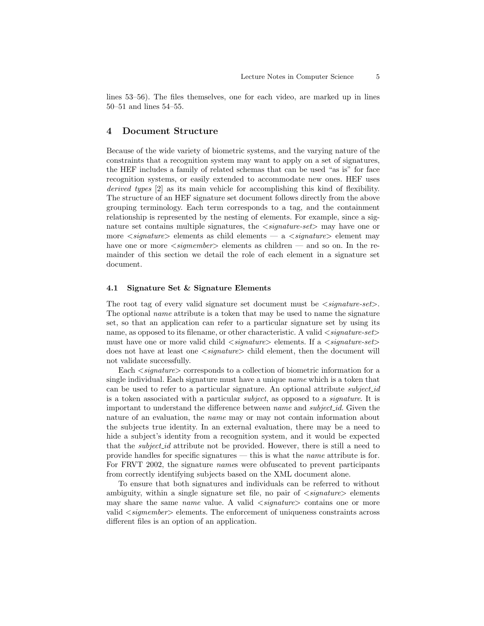lines 53–56). The files themselves, one for each video, are marked up in lines 50–51 and lines 54–55.

## **4 Document Structure**

Because of the wide variety of biometric systems, and the varying nature of the constraints that a recognition system may want to apply on a set of signatures, the HEF includes a family of related schemas that can be used "as is" for face recognition systems, or easily extended to accommodate new ones. HEF uses *derived types* [2] as its main vehicle for accomplishing this kind of flexibility. The structure of an HEF signature set document follows directly from the above grouping terminology. Each term corresponds to a tag, and the containment relationship is represented by the nesting of elements. For example, since a signature set contains multiple signatures, the *<signature-set>* may have one or more *<signature>* elements as child elements — a *<signature>* element may have one or more  $\langle$ *sigmember* $\rangle$  elements as children — and so on. In the remainder of this section we detail the role of each element in a signature set document.

### **4.1 Signature Set & Signature Elements**

The root tag of every valid signature set document must be *<signature-set>*. The optional *name* attribute is a token that may be used to name the signature set, so that an application can refer to a particular signature set by using its name, as opposed to its filename, or other characteristic. A valid *<signature-set>* must have one or more valid child *<signature>* elements. If a *<signature-set>* does not have at least one *<signature>* child element, then the document will not validate successfully.

Each *<signature>* corresponds to a collection of biometric information for a single individual. Each signature must have a unique *name* which is a token that can be used to refer to a particular signature. An optional attribute *subject id* is a token associated with a particular *subject*, as opposed to a *signature*. It is important to understand the difference between *name* and *subject id*. Given the nature of an evaluation, the *name* may or may not contain information about the subjects true identity. In an external evaluation, there may be a need to hide a subject's identity from a recognition system, and it would be expected that the *subject id* attribute not be provided. However, there is still a need to provide handles for specific signatures — this is what the *name* attribute is for. For FRVT 2002, the signature *name*s were obfuscated to prevent participants from correctly identifying subjects based on the XML document alone.

To ensure that both signatures and individuals can be referred to without ambiguity, within a single signature set file, no pair of *<signature>* elements may share the same *name* value. A valid *<signature>* contains one or more valid *<sigmember>* elements. The enforcement of uniqueness constraints across different files is an option of an application.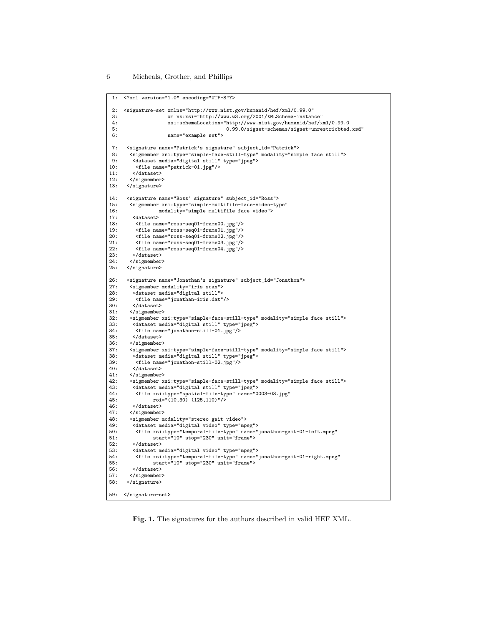```
1: <?xml version="1.0" encoding="UTF-8"?>
 2: \langlesignature-set xmlns="http://www.nist.gov/humanid/hef/xml/0.99.0"<br>3: xmlns:xsi="http://www.w3.org/2001/XMLSchema-instan
 3: xmlns:xsi="http://www.w3.org/2001/XMLSchema-instance"
 4: xsi:schemaLocation="http://www.nist.gov/humanid/hef/xml/0.99.0
 5: 0.99.0/sigset-schemas/sigset-unrestricbted.xsd"
                           name="example set">
 7: <signature name="Patrick's signature" subject_id="Patrick">
 8: <sigmember xsi:type="simple-face-still-type" modality="simple face still"><br>9: <dataset media="digital still" type="ipeg">
9: <dataset media="digital still" type="jpeg"><br>10: <file name="patrick-01.jpg"/>
10: 
<br>
(file name="patrick-01.jpg"/>
<br>
11: 
(/dataset>
11: </dataset>
12: \langlesigmember><br>13: \langlesigmature>
        13: </signature>
14: <signature name="Ross' signature" subject_id="Ross"><br>15: <signember xsi:tvpe="simple-multifile-face-video-tv
          15: <sigmember xsi:type="simple-multifile-face-video-type"
16: modality="simple multifile face video"><br>17: <dataset>
17: <dataset><br>18: <file na
18: 
stile name="ross-seq01-frame00.jpg"/><br>
19: 
stile name="ross-seq01-frame01.jpg"/>
19: 
cfile name="ross-seq01-frame01.jpg"/><br>
20: 
cfile name="ross-seq01-frame02.jpg"/>
20: cfile name="ross-seq01-frame02.jpg"/><br>21: cfile name="ross-seq01-frame03.jpg"/>
            21: <file name="ross-seq01-frame03.jpg"/>
22: 
\langleile name="ross-seq01-frame04.jpg"/><br>
23: \langle/dataset>
23: </dataset><br>24: </sigmember
24: </sigmember><br>25: </signature>
        25: </signature>
26: <signature name="Jonathan's signature" subject_id="Jonathon">
27: <sigmember modality="iris scan"><br>28: <dataset media="digital still">
           28: <dataset media="digital still">
29: 
cfile name="jonathan-iris.dat"/>
20: 
c/dataset>
30: </dataset><br>31: </sigmember
         31: </sigmember>
32: <sigmember xsi:type="simple-face-still-type" modality="simple face still">
33: <dataset media="digital still" type="jpeg">
34: cfile name="jonathon-still-01.jpg"/><br>35: c/dataset>
35: </dataset><br>36: </sigmember
         36: </sigmember>
37: <sigmember xsi:type="simple-face-still-type" modality="simple face still">
           38: <dataset media="digital still" type="jpeg">
39: 
<br>
Stile name="jonathon-still-02.jpg"/><br>
\frac{1}{2} </dataset>
40: </dataset><br>41: </sigmember
41: </sigmember><br>42: <sigmember x
42: <sigmember xsi:type="simple-face-still-type" modality="simple face still"><br>43: <dataset media="digital still" type="jpeg">
43: <dataset media="digital still" type="jpeg">
44: <file xsi:type="spatial-file-type" name="0003-03.jpg"
45: \text{roi}=(10,30)(125,110)'/46: </dataset><br>47: </sigmember
47: </sigmember>
48: <sigmember modality="stereo gait video"><br>49: <dataset media="digital video" type="mp
49: <dataset media="digital video" type="mpeg"><br>50: <file xsi:tvpe="temporal-file-tvpe" name="
50: 
stile xsi:type="temporal-file-type" name="jonathon-gait-01-left.mpeg"<br>
51: start="10" stop="230" unit="frame">
51: start="10" stop="230" unit="frame"><br>52: </dataset>
52: </dataset><br>53: <dataset m
53: <dataset media="digital video" type="mpeg"><br>54: <file xsi:type="temporal-file-type" name="
54: 
Sile xsi:type="temporal-file-type" name="jonathon-gait-01-right.mpeg"<br>
55: start="10" stop="230" unit="frame">
55: start="10" stop="230" unit="frame"><br>56: </dataset>
56: </dataset><br>57: </sigmember>
57: </sigmember><br>58: </signature>
        58: </signature>
59: </signature-set>
```
**Fig. 1.** The signatures for the authors described in valid HEF XML.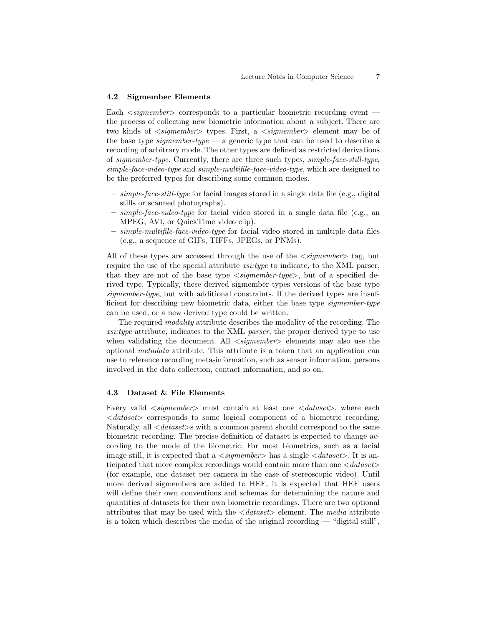#### **4.2 Sigmember Elements**

Each *<sigmember>* corresponds to a particular biometric recording event the process of collecting new biometric information about a subject. There are two kinds of *<sigmember>* types. First, a *<sigmember>* element may be of the base type *sigmember-type* — a generic type that can be used to describe a recording of arbitrary mode. The other types are defined as restricted derivations of *sigmember-type*. Currently, there are three such types, *simple-face-still-type*, *simple-face-video-type* and *simple-multifile-face-video-type*, which are designed to be the preferred types for describing some common modes.

- **–** *simple-face-still-type* for facial images stored in a single data file (e.g., digital stills or scanned photographs).
- **–** *simple-face-video-type* for facial video stored in a single data file (e.g., an MPEG, AVI, or QuickTime video clip).
- **–** *simple-multifile-face-video-type* for facial video stored in multiple data files (e.g., a sequence of GIFs, TIFFs, JPEGs, or PNMs).

All of these types are accessed through the use of the *<sigmember>* tag, but require the use of the special attribute *xsi:type* to indicate, to the XML parser, that they are not of the base type *<sigmember-type>*, but of a specified derived type. Typically, these derived sigmember types versions of the base type *sigmember-type*, but with additional constraints. If the derived types are insufficient for describing new biometric data, either the base type *sigmember-type* can be used, or a new derived type could be written.

The required *modality* attribute describes the modality of the recording. The *xsi:type* attribute, indicates to the XML *parser*, the proper derived type to use when validating the document. All *<sigmember>* elements may also use the optional *metadata* attribute. This attribute is a token that an application can use to reference recording meta-information, such as sensor information, persons involved in the data collection, contact information, and so on.

#### **4.3 Dataset & File Elements**

Every valid *<sigmember>* must contain at least one *<dataset>*, where each *<dataset>* corresponds to some logical component of a biometric recording. Naturally, all *<dataset>*s with a common parent should correspond to the same biometric recording. The precise definition of dataset is expected to change according to the mode of the biometric. For most biometrics, such as a facial image still, it is expected that a *<sigmember>* has a single *<dataset>*. It is anticipated that more complex recordings would contain more than one *<dataset>* (for example, one dataset per camera in the case of stereoscopic video). Until more derived sigmembers are added to HEF, it is expected that HEF users will define their own conventions and schemas for determining the nature and quantities of datasets for their own biometric recordings. There are two optional attributes that may be used with the *<dataset>* element. The *media* attribute is a token which describes the media of the original recording — "digital still",